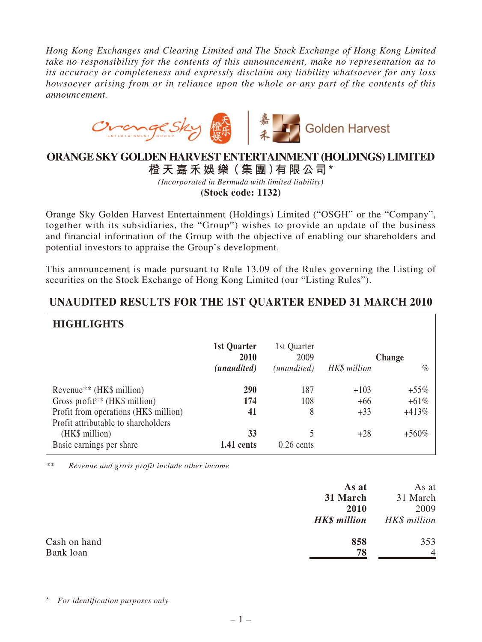*Hong Kong Exchanges and Clearing Limited and The Stock Exchange of Hong Kong Limited take no responsibility for the contents of this announcement, make no representation as to its accuracy or completeness and expressly disclaim any liability whatsoever for any loss howsoever arising from or in reliance upon the whole or any part of the contents of this announcement.*



## **ORANGE SKY GOLDEN HARVEST ENTERTAINMENT (HOLDINGS) LIMITED**

**橙 天 嘉禾娛 樂(集 團)有限公司\***

*(Incorporated in Bermuda with limited liability)*

**(Stock code: 1132)**

Orange Sky Golden Harvest Entertainment (Holdings) Limited ("OSGH" or the "Company", together with its subsidiaries, the "Group") wishes to provide an update of the business and financial information of the Group with the objective of enabling our shareholders and potential investors to appraise the Group's development.

This announcement is made pursuant to Rule 13.09 of the Rules governing the Listing of securities on the Stock Exchange of Hong Kong Limited (our "Listing Rules").

| <b>HIGHLIGHTS</b>                     |                     |                     |              |         |  |  |  |  |
|---------------------------------------|---------------------|---------------------|--------------|---------|--|--|--|--|
|                                       | 1st Quarter<br>2010 | 1st Quarter<br>2009 | Change       |         |  |  |  |  |
|                                       | (unaudited)         | (unaudited)         | HK\$ million | $\%$    |  |  |  |  |
| Revenue <sup>**</sup> (HK\$ million)  | 290                 | 187                 | $+103$       | $+55%$  |  |  |  |  |
| Gross profit** (HK\$ million)         | 174                 | 108                 | $+66$        | $+61%$  |  |  |  |  |
| Profit from operations (HK\$ million) | 41                  | 8                   | $+33$        | $+413%$ |  |  |  |  |
| Profit attributable to shareholders   |                     |                     |              |         |  |  |  |  |
| (HK\$ million)                        | 33                  | 5                   | $+28$        | $+560%$ |  |  |  |  |
| Basic earnings per share              | 1.41 cents          | $0.26$ cents        |              |         |  |  |  |  |

## **UNAUDITED RESULTS FOR THE 1ST QUARTER ENDED 31 MARCH 2010**

*\*\* Revenue and gross profit include other income*

|              | As at               | As at          |
|--------------|---------------------|----------------|
|              | 31 March            | 31 March       |
|              | 2010                | 2009           |
|              | <b>HK\$</b> million | HK\$ million   |
| Cash on hand | 858                 | 353            |
| Bank loan    | 78                  | $\overline{4}$ |

*<i> r identification purposes only*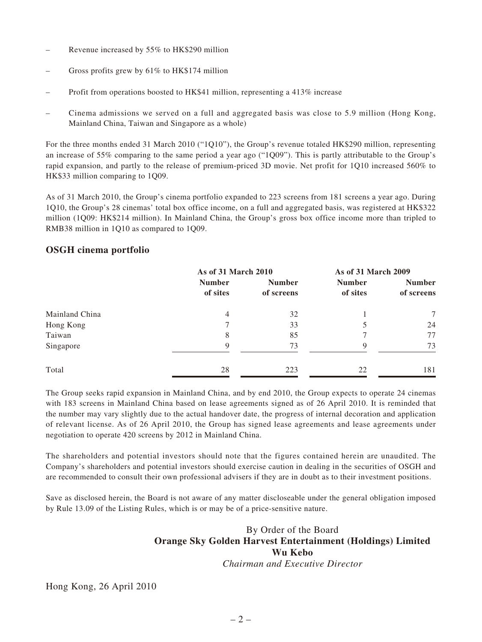- Revenue increased by 55% to HK\$290 million
- Gross profits grew by 61% to HK\$174 million
- Profit from operations boosted to HK\$41 million, representing a 413% increase
- Cinema admissions we served on a full and aggregated basis was close to 5.9 million (Hong Kong, Mainland China, Taiwan and Singapore as a whole)

For the three months ended 31 March 2010 ("1Q10"), the Group's revenue totaled HK\$290 million, representing an increase of 55% comparing to the same period a year ago ("1Q09"). This is partly attributable to the Group's rapid expansion, and partly to the release of premium-priced 3D movie. Net profit for 1Q10 increased 560% to HK\$33 million comparing to 1Q09.

As of 31 March 2010, the Group's cinema portfolio expanded to 223 screens from 181 screens a year ago. During 1Q10, the Group's 28 cinemas' total box office income, on a full and aggregated basis, was registered at HK\$322 million (1Q09: HK\$214 million). In Mainland China, the Group's gross box office income more than tripled to RMB38 million in 1Q10 as compared to 1Q09.

## **OSGH cinema portfolio**

|                |                           | As of 31 March 2010         |                           | As of 31 March 2009         |  |
|----------------|---------------------------|-----------------------------|---------------------------|-----------------------------|--|
|                | <b>Number</b><br>of sites | <b>Number</b><br>of screens | <b>Number</b><br>of sites | <b>Number</b><br>of screens |  |
| Mainland China | 4                         | 32                          |                           | 7                           |  |
| Hong Kong      | 7                         | 33                          | 5                         | 24                          |  |
| Taiwan         | 8                         | 85                          |                           | 77                          |  |
| Singapore      | 9                         | 73                          | 9                         | 73                          |  |
| Total          | 28                        | 223                         | 22                        | 181                         |  |

The Group seeks rapid expansion in Mainland China, and by end 2010, the Group expects to operate 24 cinemas with 183 screens in Mainland China based on lease agreements signed as of 26 April 2010. It is reminded that the number may vary slightly due to the actual handover date, the progress of internal decoration and application of relevant license. As of 26 April 2010, the Group has signed lease agreements and lease agreements under negotiation to operate 420 screens by 2012 in Mainland China.

The shareholders and potential investors should note that the figures contained herein are unaudited. The Company's shareholders and potential investors should exercise caution in dealing in the securities of OSGH and are recommended to consult their own professional advisers if they are in doubt as to their investment positions.

Save as disclosed herein, the Board is not aware of any matter discloseable under the general obligation imposed by Rule 13.09 of the Listing Rules, which is or may be of a price-sensitive nature.

## By Order of the Board **Orange Sky Golden Harvest Entertainment (Holdings) Limited Wu Kebo**

*Chairman and Executive Director*

Hong Kong, 26 April 2010